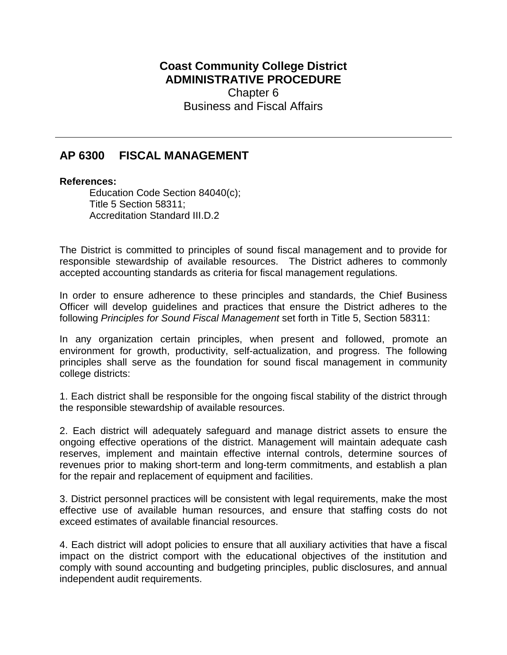## **Coast Community College District ADMINISTRATIVE PROCEDURE** Chapter 6 Business and Fiscal Affairs

## **AP 6300 FISCAL MANAGEMENT**

## **References:**

Education Code Section 84040(c); Title 5 Section 58311; Accreditation Standard III.D.2

The District is committed to principles of sound fiscal management and to provide for responsible stewardship of available resources. The District adheres to commonly accepted accounting standards as criteria for fiscal management regulations.

In order to ensure adherence to these principles and standards, the Chief Business Officer will develop guidelines and practices that ensure the District adheres to the following *Principles for Sound Fiscal Management* set forth in Title 5, Section 58311:

In any organization certain principles, when present and followed, promote an environment for growth, productivity, self-actualization, and progress. The following principles shall serve as the foundation for sound fiscal management in community college districts:

1. Each district shall be responsible for the ongoing fiscal stability of the district through the responsible stewardship of available resources.

2. Each district will adequately safeguard and manage district assets to ensure the ongoing effective operations of the district. Management will maintain adequate cash reserves, implement and maintain effective internal controls, determine sources of revenues prior to making short-term and long-term commitments, and establish a plan for the repair and replacement of equipment and facilities.

3. District personnel practices will be consistent with legal requirements, make the most effective use of available human resources, and ensure that staffing costs do not exceed estimates of available financial resources.

4. Each district will adopt policies to ensure that all auxiliary activities that have a fiscal impact on the district comport with the educational objectives of the institution and comply with sound accounting and budgeting principles, public disclosures, and annual independent audit requirements.